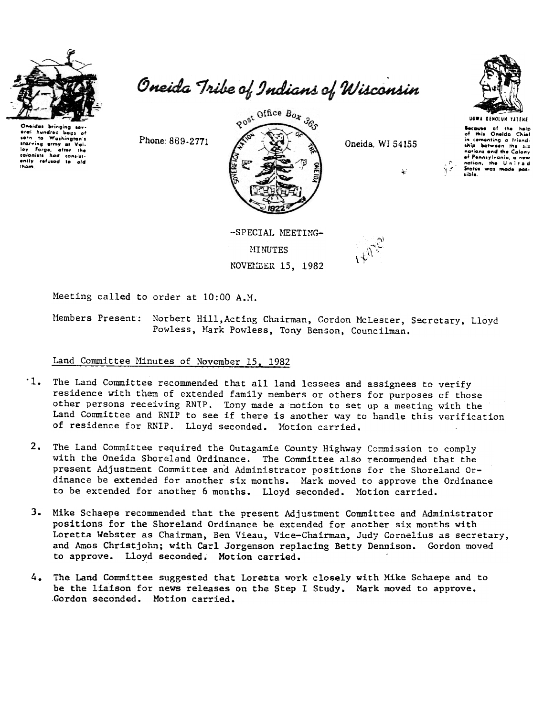

Oneides eral hundred bag corn to Washingto corn to .......<br>starving ermy at \<br><sup>tour Forge, after</sup> Vallay Forge, after the<br>colonists had consist-<br>ently refused to aid lov iham.

Oneida Tribe of Indians of Wisconsin



Oneida, WI 54155

أبياني<br>أربيانيا



Because of the<br>of this Oneida  $Chid$ in cementing a friend-<br>ship between the six nations and the Colony of Pennsylvania, a new sible.

ÑΖ

-SPECIAL MEETING-**MINUTES** NOVEMBER 15, 1982

Meeting called to order at 10:00 A.M.

Members Present: Norbert Hill, Acting Chairman, Gordon McLester, Secretary, Lloyd Powless, Mark Powless, Tony Benson, Councilman.

#### Land Committee Minutes of November 15, 1982

Phone: 869-2771

- '1. The Land Committee recommended that all land lessees and assignees to verify residence with them of extended family members or others for purposes of those other persons receiving RNIP. Tony made a motion to set up a meeting with the Land Committee and RNIP to see if there is another way to handle this verification of residence for RNIP. Lloyd seconded. Motion carried.
- 2. The Land Committee required the Outagamie County Highway Commission to comply with the Oneida Shoreland Ordinance. The Committee also recommended that the present Adjustment Committee and Administrator positions for the Shoreland Ordinance be extended for another six months. Mark moved to approve the Ordinance to be extended for another 6 months. Lloyd seconded. Motion carried.
- 3. Mike Schaepe recommended that the present Adjustment Committee and Administrator positions for the Shoreland Ordinance be extended for another six months with Loretta Webster as Chairman, Ben Vieau, Vice-Chairman, Judy Cornelius as secretary, and Amos Christjohn; with Carl Jorgenson replacing Betty Dennison. Gordon moved to approve. Lloyd seconded. Motion carried.
- 4. The Land Committee suggested that Loretta work closely with Mike Schaepe and to be the liaison for news releases on the Step I Study. Mark moved to approve. Gordon seconded. Motion carried.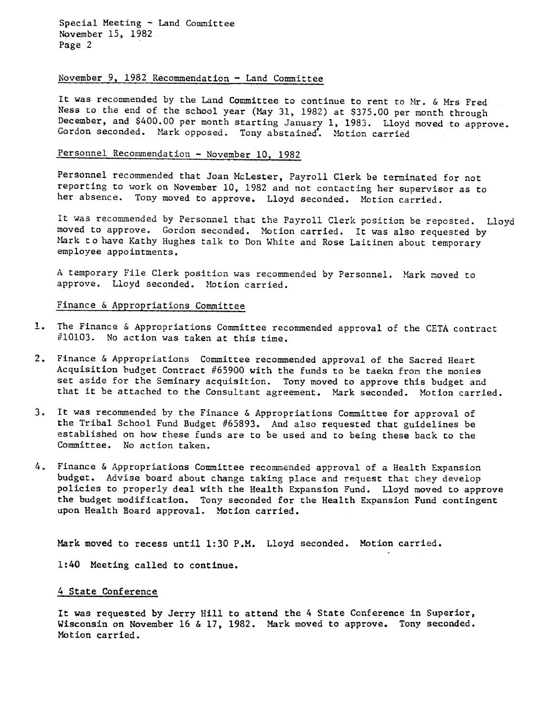Special Meeting - Land Committee November 15, 1982 Page 2

#### November 9, 1982 Recommendation - Land Committee

It was recommended by the Land Committee to continue to rent to Mr. & Mrs Fred Ness to the end of the school year (May 31. 1982) at \$375.00 per month through December, and \$400.00 per month starting January 1, 1983. Lloyd moved to approve. Gordon seconded. Mark opposed. Tony abstained. Motion carried

# Personnel Recommendation - November 10, 1982

Personnel recommended that Joan McLester, Payroll Clerk be terminated for not reporting to work on November 10, 1982 and not contacting her supervisor as to her absence. Tony moved to approve. Lloyd seconded. Motion carried.

It was recommended by Personnel that the Payroll Clerk position be reposted. Lloyd moved to approve. Gordon seconded. Motion carried. It was also requested by Mark to have Kathy Hughes talk to Don White and Rose Laitinen about temporary employee appointments.

A temporary File Clerk position was recommended by Personnel. Mark moved t approve. Lloyd seconded. Motion carried.

### Finance & Appropriations Committee

- The Finance & Appropriations Committee recommended approval of the CETA contract #10103. No action was taken at this time.
- 2. Finance & Appropriations Committee recommended approval of the Sacred Heart Acquisition budget Contract  $#65900$  with the funds to be taekn from the monies set aside for the Seminary acquisition. Tony moved to approve this budget and that it be attached to the Consultant agreement. Mark seconded. Motion carried.
- 3. It was recommended by the Finance & Appropriations Committee for approval of the Tribal School Fund Budget #65893. And also requested that guidelines be established on how these funds are to be used and to being these back to the Committee. No action taken.
- Finance & Appropriations Committee recommended approval of a Health Expansion budget. Advise board about change taking place and request that they develop policies to properly deal with the Health Expansion Fund. Lloyd moved to approve the budget modification. Tony seconded for the Health Expansion Fund contingent upon Health Board approval. Motion carried.

Mark moved to recess until 1:30 P.M. Lloyd seconded. Motion carried.

1:40 Meeting called to continue.

# 4 State Conference

It was requested by Jerry Hill to attend the 4 State Conference in Superior. Wisconsin on November 16 & 17, 1982. Mark moved to approve. Tony seconded. Motion carried.